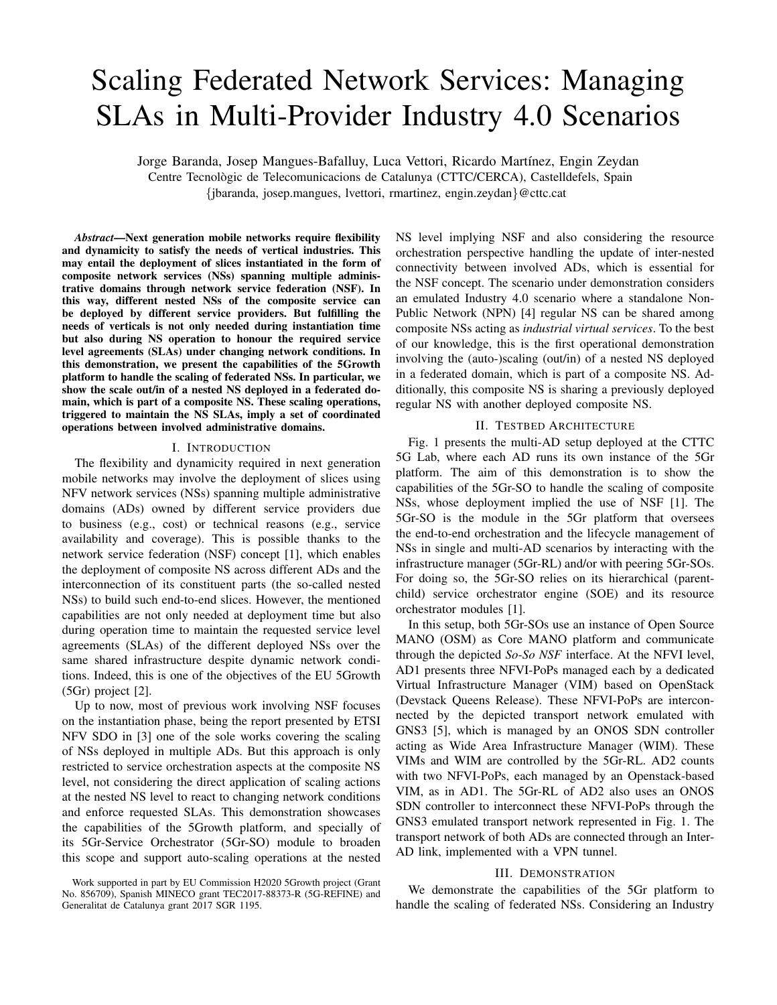# Scaling Federated Network Services: Managing SLAs in Multi-Provider Industry 4.0 Scenarios

Jorge Baranda, Josep Mangues-Bafalluy, Luca Vettori, Ricardo Martínez, Engin Zeydan Centre Tecnologic de Telecomunicacions de Catalunya (CTTC/CERCA), Castelldefels, Spain ` {jbaranda, josep.mangues, lvettori, rmartinez, engin.zeydan}@cttc.cat

*Abstract*—Next generation mobile networks require flexibility and dynamicity to satisfy the needs of vertical industries. This may entail the deployment of slices instantiated in the form of composite network services (NSs) spanning multiple administrative domains through network service federation (NSF). In this way, different nested NSs of the composite service can be deployed by different service providers. But fulfilling the needs of verticals is not only needed during instantiation time but also during NS operation to honour the required service level agreements (SLAs) under changing network conditions. In this demonstration, we present the capabilities of the 5Growth platform to handle the scaling of federated NSs. In particular, we show the scale out/in of a nested NS deployed in a federated domain, which is part of a composite NS. These scaling operations, triggered to maintain the NS SLAs, imply a set of coordinated operations between involved administrative domains.

#### I. INTRODUCTION

The flexibility and dynamicity required in next generation mobile networks may involve the deployment of slices using NFV network services (NSs) spanning multiple administrative domains (ADs) owned by different service providers due to business (e.g., cost) or technical reasons (e.g., service availability and coverage). This is possible thanks to the network service federation (NSF) concept [1], which enables the deployment of composite NS across different ADs and the interconnection of its constituent parts (the so-called nested NSs) to build such end-to-end slices. However, the mentioned capabilities are not only needed at deployment time but also during operation time to maintain the requested service level agreements (SLAs) of the different deployed NSs over the same shared infrastructure despite dynamic network conditions. Indeed, this is one of the objectives of the EU 5Growth (5Gr) project [2].

Up to now, most of previous work involving NSF focuses on the instantiation phase, being the report presented by ETSI NFV SDO in [3] one of the sole works covering the scaling of NSs deployed in multiple ADs. But this approach is only restricted to service orchestration aspects at the composite NS level, not considering the direct application of scaling actions at the nested NS level to react to changing network conditions and enforce requested SLAs. This demonstration showcases the capabilities of the 5Growth platform, and specially of its 5Gr-Service Orchestrator (5Gr-SO) module to broaden this scope and support auto-scaling operations at the nested

NS level implying NSF and also considering the resource orchestration perspective handling the update of inter-nested connectivity between involved ADs, which is essential for the NSF concept. The scenario under demonstration considers an emulated Industry 4.0 scenario where a standalone Non-Public Network (NPN) [4] regular NS can be shared among composite NSs acting as *industrial virtual services*. To the best of our knowledge, this is the first operational demonstration involving the (auto-)scaling (out/in) of a nested NS deployed in a federated domain, which is part of a composite NS. Additionally, this composite NS is sharing a previously deployed regular NS with another deployed composite NS.

## II. TESTBED ARCHITECTURE

Fig. 1 presents the multi-AD setup deployed at the CTTC 5G Lab, where each AD runs its own instance of the 5Gr platform. The aim of this demonstration is to show the capabilities of the 5Gr-SO to handle the scaling of composite NSs, whose deployment implied the use of NSF [1]. The 5Gr-SO is the module in the 5Gr platform that oversees the end-to-end orchestration and the lifecycle management of NSs in single and multi-AD scenarios by interacting with the infrastructure manager (5Gr-RL) and/or with peering 5Gr-SOs. For doing so, the 5Gr-SO relies on its hierarchical (parentchild) service orchestrator engine (SOE) and its resource orchestrator modules [1].

In this setup, both 5Gr-SOs use an instance of Open Source MANO (OSM) as Core MANO platform and communicate through the depicted *So-So NSF* interface. At the NFVI level, AD1 presents three NFVI-PoPs managed each by a dedicated Virtual Infrastructure Manager (VIM) based on OpenStack (Devstack Queens Release). These NFVI-PoPs are interconnected by the depicted transport network emulated with GNS3 [5], which is managed by an ONOS SDN controller acting as Wide Area Infrastructure Manager (WIM). These VIMs and WIM are controlled by the 5Gr-RL. AD2 counts with two NFVI-PoPs, each managed by an Openstack-based VIM, as in AD1. The 5Gr-RL of AD2 also uses an ONOS SDN controller to interconnect these NFVI-PoPs through the GNS3 emulated transport network represented in Fig. 1. The transport network of both ADs are connected through an Inter-AD link, implemented with a VPN tunnel.

## III. DEMONSTRATION

We demonstrate the capabilities of the 5Gr platform to handle the scaling of federated NSs. Considering an Industry

Work supported in part by EU Commission H2020 5Growth project (Grant No. 856709), Spanish MINECO grant TEC2017-88373-R (5G-REFINE) and Generalitat de Catalunya grant 2017 SGR 1195.